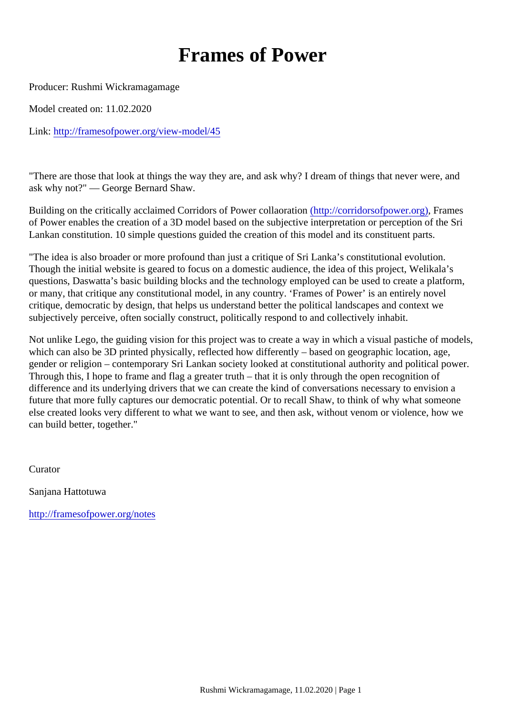# Frames of Power

Producer: Rushmi Wickramagamage

Model created on: 11.02.2020

Link: [http://framesofpower.org/view-model/](http://framesofpower.org/view-model/45)45

"There are those that look at things the way they are, and ask why? I dream of things that never were, and ask why not?" — George Bernard Shaw.

Building on the critically acclaimed Corridors of Power collaorathotip://corridorsofpower.org)Frames of Power enables the creation of a 3D model based on the subjective interpretation or perception of the Sr Lankan constitution. 10 simple questions guided the creation of this model and its constituent parts.

"The idea is also broader or more profound than just a critique of Sri Lanka's constitutional evolution. Though the initial website is geared to focus on a domestic audience, the idea of this project, Welikala's questions, Daswatta's basic building blocks and the technology employed can be used to create a platforn or many, that critique any constitutional model, in any country. 'Frames of Power' is an entirely novel critique, democratic by design, that helps us understand better the political landscapes and context we subjectively perceive, often socially construct, politically respond to and collectively inhabit.

Not unlike Lego, the guiding vision for this project was to create a way in which a visual pastiche of models which can also be 3D printed physically, reflected how differently – based on geographic location, age, gender or religion – contemporary Sri Lankan society looked at constitutional authority and political power. Through this, I hope to frame and flag a greater truth – that it is only through the open recognition of difference and its underlying drivers that we can create the kind of conversations necessary to envision a future that more fully captures our democratic potential. Or to recall Shaw, to think of why what someone else created looks very different to what we want to see, and then ask, without venom or violence, how we can build better, together."

**Curator** 

Sanjana Hattotuwa

[http://framesofpower.org/not](http://framesofpower.org/notes)es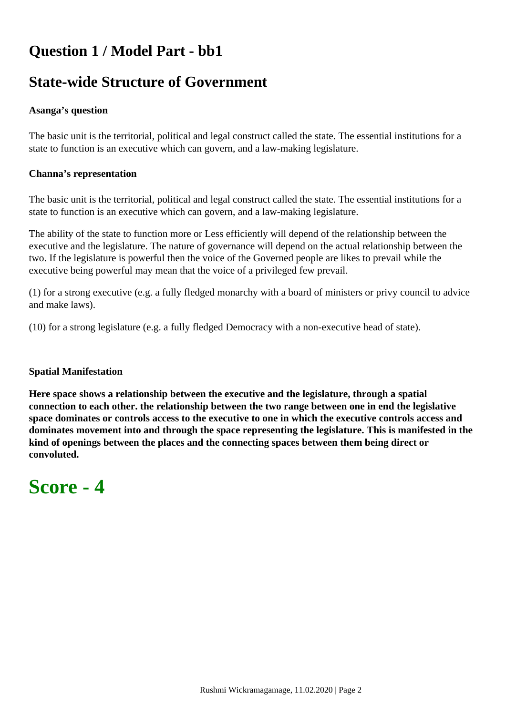## **Question 1 / Model Part - bb1**

## **State-wide Structure of Government**

## **Asanga's question**

The basic unit is the territorial, political and legal construct called the state. The essential institutions for a state to function is an executive which can govern, and a law-making legislature.

## **Channa's representation**

The basic unit is the territorial, political and legal construct called the state. The essential institutions for a state to function is an executive which can govern, and a law-making legislature.

The ability of the state to function more or Less efficiently will depend of the relationship between the executive and the legislature. The nature of governance will depend on the actual relationship between the two. If the legislature is powerful then the voice of the Governed people are likes to prevail while the executive being powerful may mean that the voice of a privileged few prevail.

(1) for a strong executive (e.g. a fully fledged monarchy with a board of ministers or privy council to advice and make laws).

(10) for a strong legislature (e.g. a fully fledged Democracy with a non-executive head of state).

### **Spatial Manifestation**

**Here space shows a relationship between the executive and the legislature, through a spatial connection to each other. the relationship between the two range between one in end the legislative space dominates or controls access to the executive to one in which the executive controls access and dominates movement into and through the space representing the legislature. This is manifested in the kind of openings between the places and the connecting spaces between them being direct or convoluted.**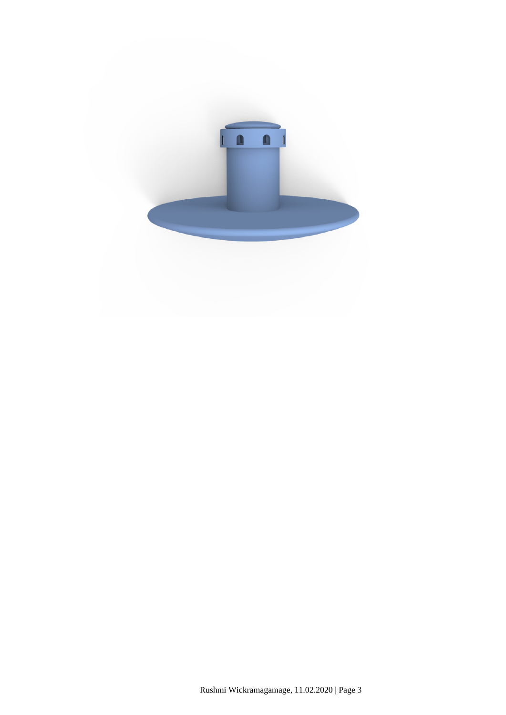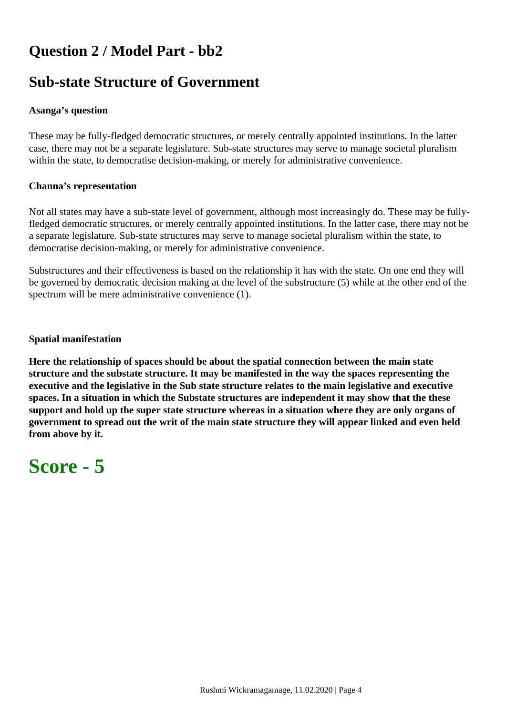## **Question 2 / Model Part - bb2**

## **Sub-state Structure of Government**

### **Asanga's question**

These may be fully-fledged democratic structures, or merely centrally appointed institutions. In the latter case, there may not be a separate legislature. Sub-state structures may serve to manage societal pluralism within the state, to democratise decision-making, or merely for administrative convenience.

### **Channa's representation**

Not all states may have a sub-state level of government, although most increasingly do. These may be fullyfledged democratic structures, or merely centrally appointed institutions. In the latter case, there may not be a separate legislature. Sub-state structures may serve to manage societal pluralism within the state, to democratise decision-making, or merely for administrative convenience.

Substructures and their effectiveness is based on the relationship it has with the state. On one end they will be governed by democratic decision making at the level of the substructure (5) while at the other end of the spectrum will be mere administrative convenience (1).

#### **Spatial manifestation**

**Here the relationship of spaces should be about the spatial connection between the main state structure and the substate structure. It may be manifested in the way the spaces representing the executive and the legislative in the Sub state structure relates to the main legislative and executive spaces. In a situation in which the Substate structures are independent it may show that the these support and hold up the super state structure whereas in a situation where they are only organs of government to spread out the writ of the main state structure they will appear linked and even held from above by it.**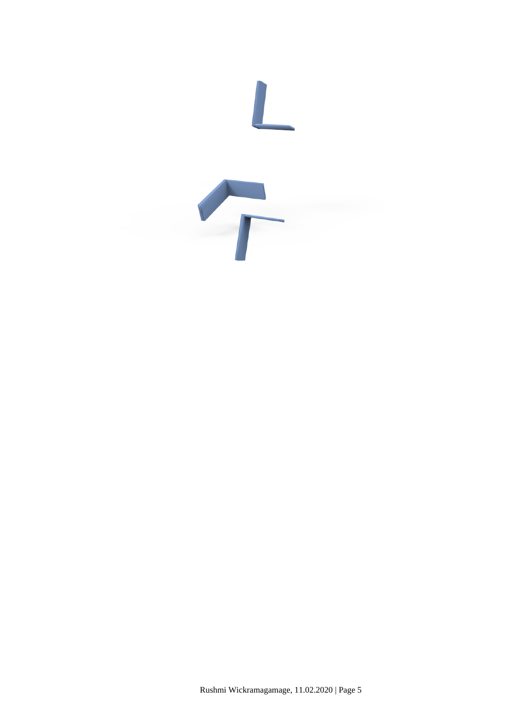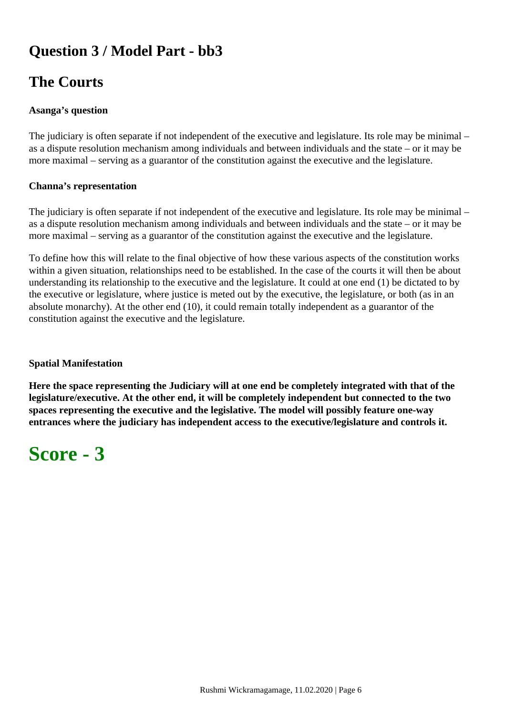# **Question 3 / Model Part - bb3**

## **The Courts**

### **Asanga's question**

The judiciary is often separate if not independent of the executive and legislature. Its role may be minimal – as a dispute resolution mechanism among individuals and between individuals and the state – or it may be more maximal – serving as a guarantor of the constitution against the executive and the legislature.

#### **Channa's representation**

The judiciary is often separate if not independent of the executive and legislature. Its role may be minimal – as a dispute resolution mechanism among individuals and between individuals and the state – or it may be more maximal – serving as a guarantor of the constitution against the executive and the legislature.

To define how this will relate to the final objective of how these various aspects of the constitution works within a given situation, relationships need to be established. In the case of the courts it will then be about understanding its relationship to the executive and the legislature. It could at one end (1) be dictated to by the executive or legislature, where justice is meted out by the executive, the legislature, or both (as in an absolute monarchy). At the other end (10), it could remain totally independent as a guarantor of the constitution against the executive and the legislature.

#### **Spatial Manifestation**

**Here the space representing the Judiciary will at one end be completely integrated with that of the legislature/executive. At the other end, it will be completely independent but connected to the two spaces representing the executive and the legislative. The model will possibly feature one-way entrances where the judiciary has independent access to the executive/legislature and controls it.**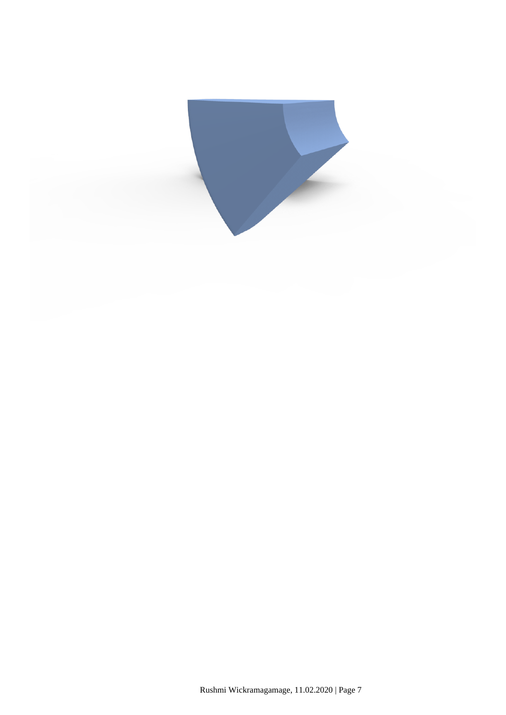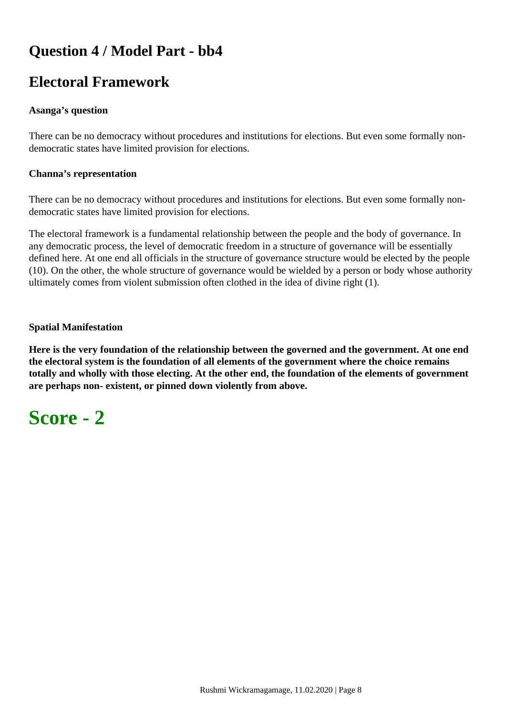# **Question 4 / Model Part - bb4**

## **Electoral Framework**

### **Asanga's question**

There can be no democracy without procedures and institutions for elections. But even some formally nondemocratic states have limited provision for elections.

#### **Channa's representation**

There can be no democracy without procedures and institutions for elections. But even some formally nondemocratic states have limited provision for elections.

The electoral framework is a fundamental relationship between the people and the body of governance. In any democratic process, the level of democratic freedom in a structure of governance will be essentially defined here. At one end all officials in the structure of governance structure would be elected by the people (10). On the other, the whole structure of governance would be wielded by a person or body whose authority ultimately comes from violent submission often clothed in the idea of divine right (1).

#### **Spatial Manifestation**

**Here is the very foundation of the relationship between the governed and the government. At one end the electoral system is the foundation of all elements of the government where the choice remains totally and wholly with those electing. At the other end, the foundation of the elements of government are perhaps non- existent, or pinned down violently from above.**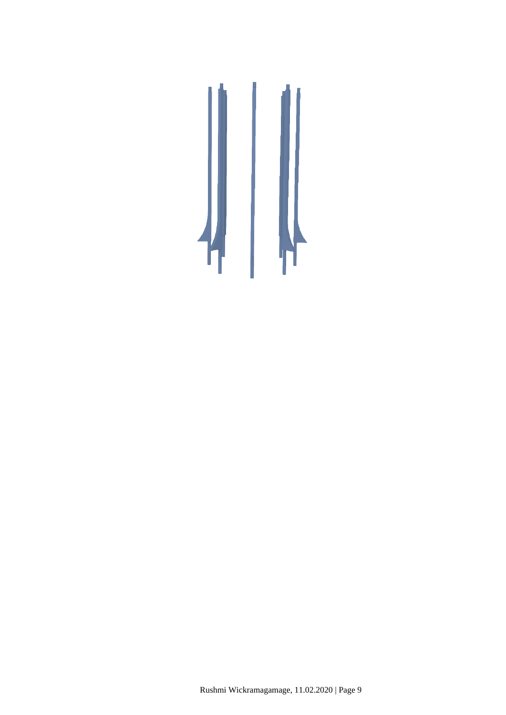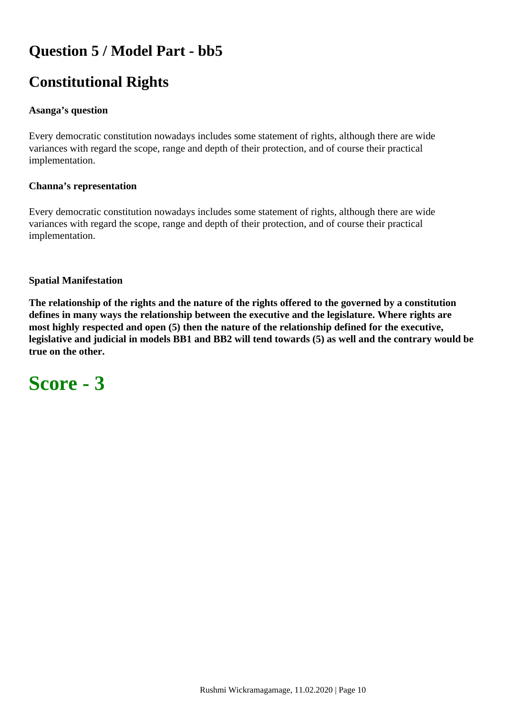# **Question 5 / Model Part - bb5**

# **Constitutional Rights**

#### **Asanga's question**

Every democratic constitution nowadays includes some statement of rights, although there are wide variances with regard the scope, range and depth of their protection, and of course their practical implementation.

#### **Channa's representation**

Every democratic constitution nowadays includes some statement of rights, although there are wide variances with regard the scope, range and depth of their protection, and of course their practical implementation.

#### **Spatial Manifestation**

**The relationship of the rights and the nature of the rights offered to the governed by a constitution defines in many ways the relationship between the executive and the legislature. Where rights are most highly respected and open (5) then the nature of the relationship defined for the executive, legislative and judicial in models BB1 and BB2 will tend towards (5) as well and the contrary would be true on the other.**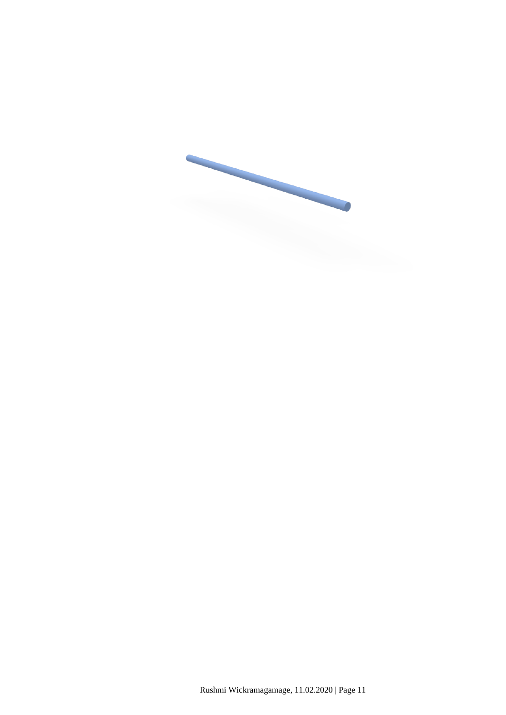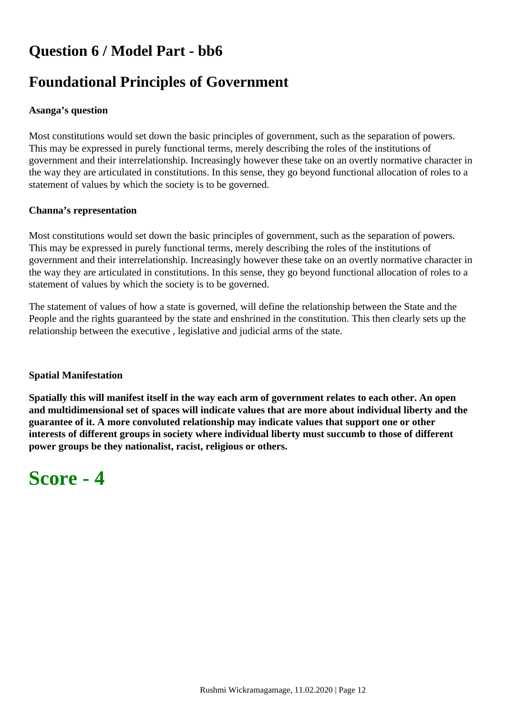## **Question 6 / Model Part - bb6**

# **Foundational Principles of Government**

## **Asanga's question**

Most constitutions would set down the basic principles of government, such as the separation of powers. This may be expressed in purely functional terms, merely describing the roles of the institutions of government and their interrelationship. Increasingly however these take on an overtly normative character in the way they are articulated in constitutions. In this sense, they go beyond functional allocation of roles to a statement of values by which the society is to be governed.

### **Channa's representation**

Most constitutions would set down the basic principles of government, such as the separation of powers. This may be expressed in purely functional terms, merely describing the roles of the institutions of government and their interrelationship. Increasingly however these take on an overtly normative character in the way they are articulated in constitutions. In this sense, they go beyond functional allocation of roles to a statement of values by which the society is to be governed.

The statement of values of how a state is governed, will define the relationship between the State and the People and the rights guaranteed by the state and enshrined in the constitution. This then clearly sets up the relationship between the executive , legislative and judicial arms of the state.

## **Spatial Manifestation**

**Spatially this will manifest itself in the way each arm of government relates to each other. An open and multidimensional set of spaces will indicate values that are more about individual liberty and the guarantee of it. A more convoluted relationship may indicate values that support one or other interests of different groups in society where individual liberty must succumb to those of different power groups be they nationalist, racist, religious or others.**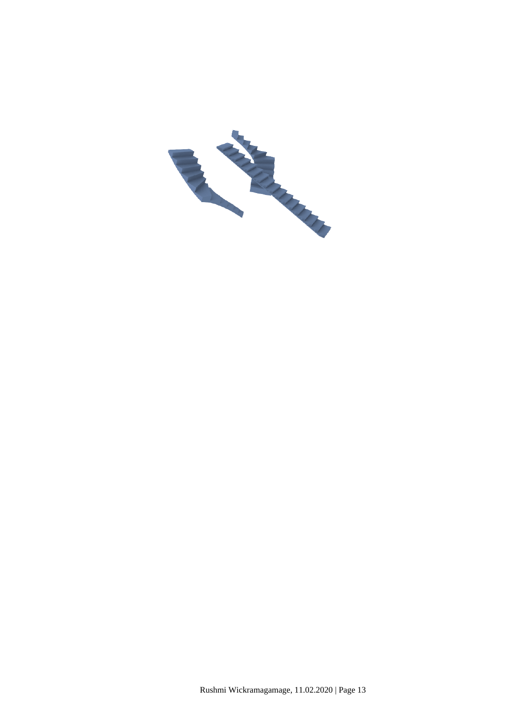Charles Charles Contains of the Charles of the Charles of the Charles of the Charles of the Charles of the Charles of the Charles of the Charles of the Charles of the Charles of the Charles of the Charles of the Charles of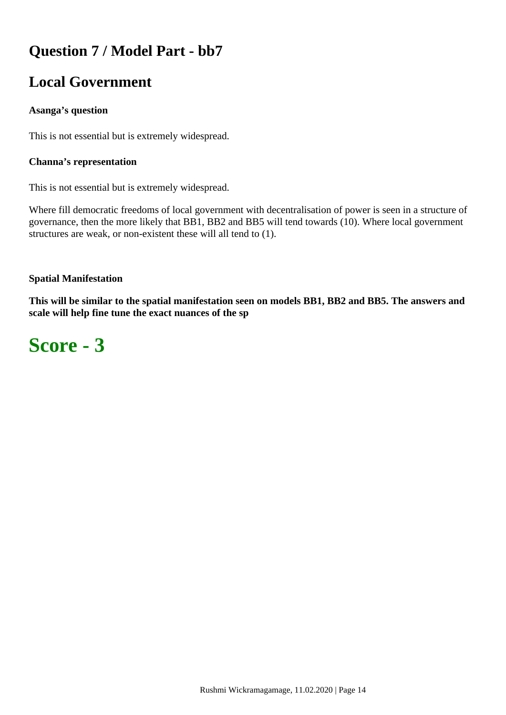# **Question 7 / Model Part - bb7**

## **Local Government**

### **Asanga's question**

This is not essential but is extremely widespread.

#### **Channa's representation**

This is not essential but is extremely widespread.

Where fill democratic freedoms of local government with decentralisation of power is seen in a structure of governance, then the more likely that BB1, BB2 and BB5 will tend towards (10). Where local government structures are weak, or non-existent these will all tend to (1).

### **Spatial Manifestation**

**This will be similar to the spatial manifestation seen on models BB1, BB2 and BB5. The answers and scale will help fine tune the exact nuances of the sp**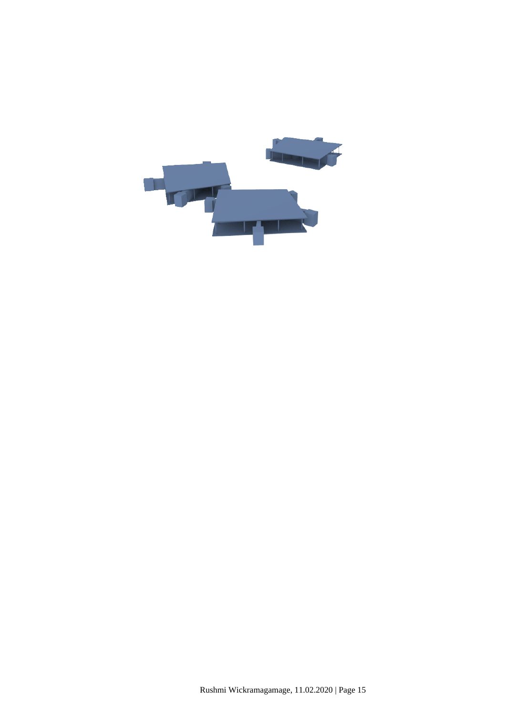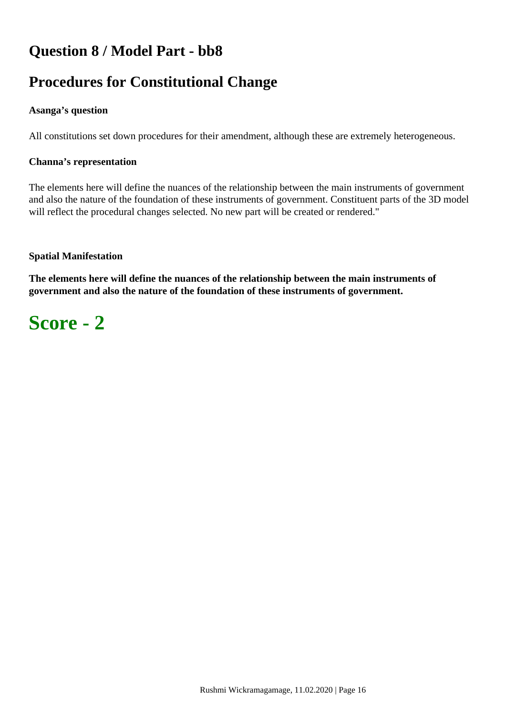## **Question 8 / Model Part - bb8**

# **Procedures for Constitutional Change**

### **Asanga's question**

All constitutions set down procedures for their amendment, although these are extremely heterogeneous.

## **Channa's representation**

The elements here will define the nuances of the relationship between the main instruments of government and also the nature of the foundation of these instruments of government. Constituent parts of the 3D model will reflect the procedural changes selected. No new part will be created or rendered."

### **Spatial Manifestation**

**The elements here will define the nuances of the relationship between the main instruments of government and also the nature of the foundation of these instruments of government.**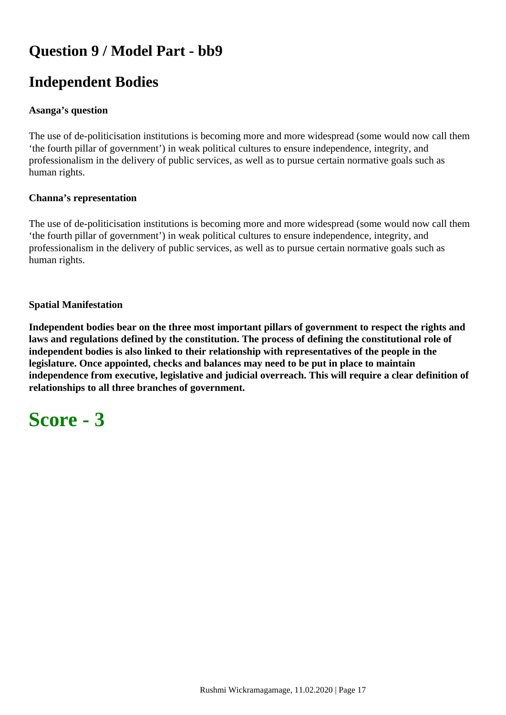## **Question 9 / Model Part - bb9**

## **Independent Bodies**

#### **Asanga's question**

The use of de-politicisation institutions is becoming more and more widespread (some would now call them 'the fourth pillar of government') in weak political cultures to ensure independence, integrity, and professionalism in the delivery of public services, as well as to pursue certain normative goals such as human rights.

#### **Channa's representation**

The use of de-politicisation institutions is becoming more and more widespread (some would now call them 'the fourth pillar of government') in weak political cultures to ensure independence, integrity, and professionalism in the delivery of public services, as well as to pursue certain normative goals such as human rights.

#### **Spatial Manifestation**

**Independent bodies bear on the three most important pillars of government to respect the rights and laws and regulations defined by the constitution. The process of defining the constitutional role of independent bodies is also linked to their relationship with representatives of the people in the legislature. Once appointed, checks and balances may need to be put in place to maintain independence from executive, legislative and judicial overreach. This will require a clear definition of relationships to all three branches of government.**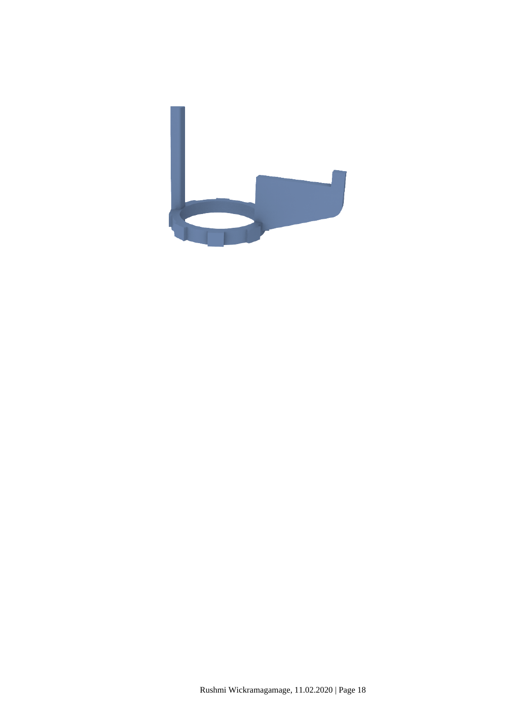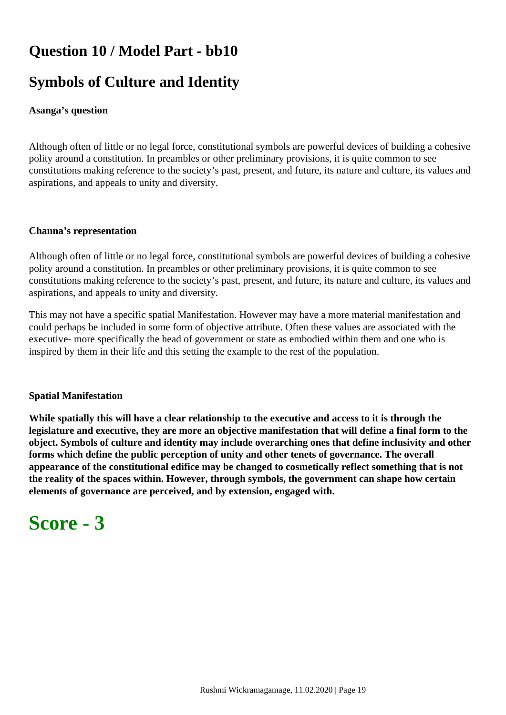## **Question 10 / Model Part - bb10**

# **Symbols of Culture and Identity**

### **Asanga's question**

Although often of little or no legal force, constitutional symbols are powerful devices of building a cohesive polity around a constitution. In preambles or other preliminary provisions, it is quite common to see constitutions making reference to the society's past, present, and future, its nature and culture, its values and aspirations, and appeals to unity and diversity.

### **Channa's representation**

Although often of little or no legal force, constitutional symbols are powerful devices of building a cohesive polity around a constitution. In preambles or other preliminary provisions, it is quite common to see constitutions making reference to the society's past, present, and future, its nature and culture, its values and aspirations, and appeals to unity and diversity.

This may not have a specific spatial Manifestation. However may have a more material manifestation and could perhaps be included in some form of objective attribute. Often these values are associated with the executive- more specifically the head of government or state as embodied within them and one who is inspired by them in their life and this setting the example to the rest of the population.

### **Spatial Manifestation**

**While spatially this will have a clear relationship to the executive and access to it is through the legislature and executive, they are more an objective manifestation that will define a final form to the object. Symbols of culture and identity may include overarching ones that define inclusivity and other forms which define the public perception of unity and other tenets of governance. The overall appearance of the constitutional edifice may be changed to cosmetically reflect something that is not the reality of the spaces within. However, through symbols, the government can shape how certain elements of governance are perceived, and by extension, engaged with.**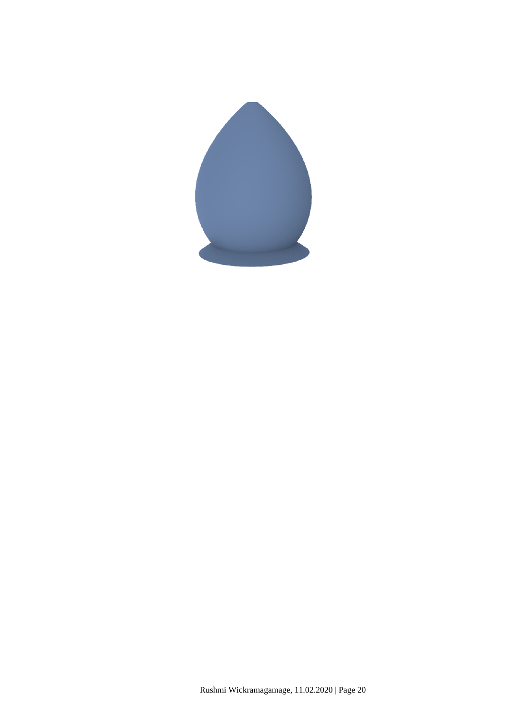